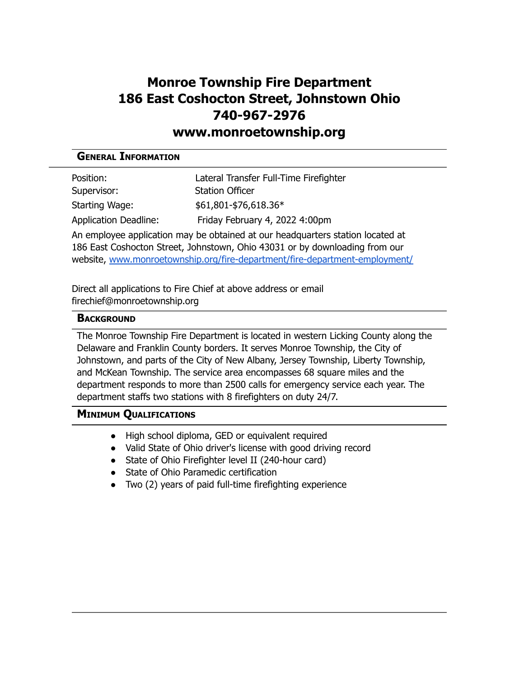# **Monroe Township Fire Department 186 East Coshocton Street, Johnstown Ohio 740-967-2976**

## **www.monroetownship.org**

### **GENERAL INFORMATION**

| Position:                    | Lateral Transfer Full-Time Firefighter |
|------------------------------|----------------------------------------|
| Supervisor:                  | <b>Station Officer</b>                 |
| Starting Wage:               | $$61,801 - $76,618.36*$                |
| <b>Application Deadline:</b> | Friday February 4, 2022 4:00pm         |

An employee application may be obtained at our headquarters station located at 186 East Coshocton Street, Johnstown, Ohio 43031 or by downloading from our website, [www.monroetownship.org/fire-department/fire-department-employment/](http://www.monroetownship.org/fire-department/fire-department-employment/)

Direct all applications to Fire Chief at above address or email firechief@monroetownship.org

#### **BACKGROUND**

The Monroe Township Fire Department is located in western Licking County along the Delaware and Franklin County borders. It serves Monroe Township, the City of Johnstown, and parts of the City of New Albany, Jersey Township, Liberty Township, and McKean Township. The service area encompasses 68 square miles and the department responds to more than 2500 calls for emergency service each year. The department staffs two stations with 8 firefighters on duty 24/7.

#### **MINIMUM QUALIFICATIONS**

- High school diploma, GED or equivalent required
- Valid State of Ohio driver's license with good driving record
- State of Ohio Firefighter level II (240-hour card)
- State of Ohio Paramedic certification
- Two (2) years of paid full-time firefighting experience